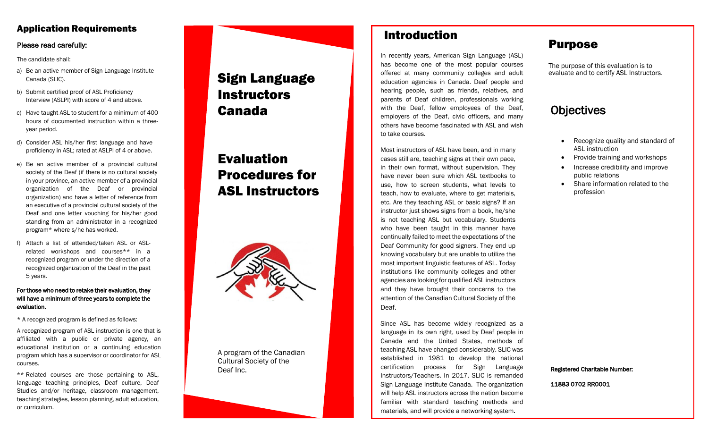### Application Requirements

#### Please read carefully:

The candidate shall:

- a) Be an active member of Sign Language Institute Canada (SLIC).
- b) Submit certified proof of ASL Proficiency Interview (ASLPI) with score of 4 and above.
- c) Have taught ASL to student for a minimum of 400 hours of documented instruction within a three year period.
- d) Consider ASL his/her first language and have proficiency in ASL; rated at ASLPI of 4 or above.
- e) Be an active member of a provincial cultural society of the Deaf (if there is no cultural society in your province, an active member of a provincial organization of the Deaf or provincial organization) and have a letter of reference from an executive of a provincial cultural society of the Deaf and one letter vouching for his/her good standing from an administrator in a recognized program\* where s/he has worked.
- f) Attach a list of attended/taken ASL or ASL related workshops and courses\*\* in a recognized program or under the direction of a recognized organization of the Deaf in the past 5 years.

#### For those who need to retake their evaluation, they will have a minimum of three years to complete the evaluation.

\* A recognized program is defined as follows:

A recognized program of ASL instruction is one that is affiliated with a public or private agency, an educational institution or a continuing education program which has a supervisor or coordinator for ASL courses.

\*\* Related courses are those pertaining to ASL, language teaching principles, Deaf culture, Deaf Studies and/or heritage, classroom management, teaching strategies, lesson planning, adult education, or curriculum.

# Sign Language **Instructors** Canada

# Evaluation Procedures for ASL Instructors



A program of the Canadian Cultural Society of the Deaf Inc.

# Introduction

In recently years, American Sign Language (ASL) has become one of the most popular courses offered at many community colleges and adult education agencies in Canada. Deaf people and hearing people, such as friends, relatives, and parents of Deaf children, professionals working with the Deaf, fellow employees of the Deaf, employers of the Deaf, civic officers, and many others have become fascinated with ASL and wish to take courses.

Most instructors of ASL have been, and in many cases still are, teaching signs at their own pace, in their own format, without supervision. They have never been sure which ASL textbooks to use, how to screen students, what levels to teach, how to evaluate, where to get materials, etc. Are they teaching ASL or basic signs? If an instructor just shows signs from a book, he/she is not teaching ASL but vocabulary. Students who have been taught in this manner have continually failed to meet the expectations of the Deaf Community for good signers. They end up knowing vocabulary but are unable to utilize the most important linguistic features of ASL. Today institutions like community colleges and other agencies are looking for qualified ASL instructors and they have brought their concerns to the attention of the Canadian Cultural Society of the Deaf .

Since ASL has become widely recognized as a language in its own right, used by Deaf people in Canada and the United States, methods of teaching ASL have changed considerably. SLIC was established in 1981 to develop the national certification process for Sign Language Instructors/Teachers. In 2017, SLIC is remanded Sign Language Institute Canada. The organization will help ASL instructors across the nation become familiar with standard teaching methods and materials, and will provide a networking system .

## Purpose

The purpose of this evaluation is to evaluate and to certify ASL Instructors.

## **Objectives**

- Recognize quality and standard of ASL instruction
- Provide training and workshops
- Increase credibility and improve public relations
- Share information related to the profession

#### Registered Charitable Number:

11883 0702 RR0001